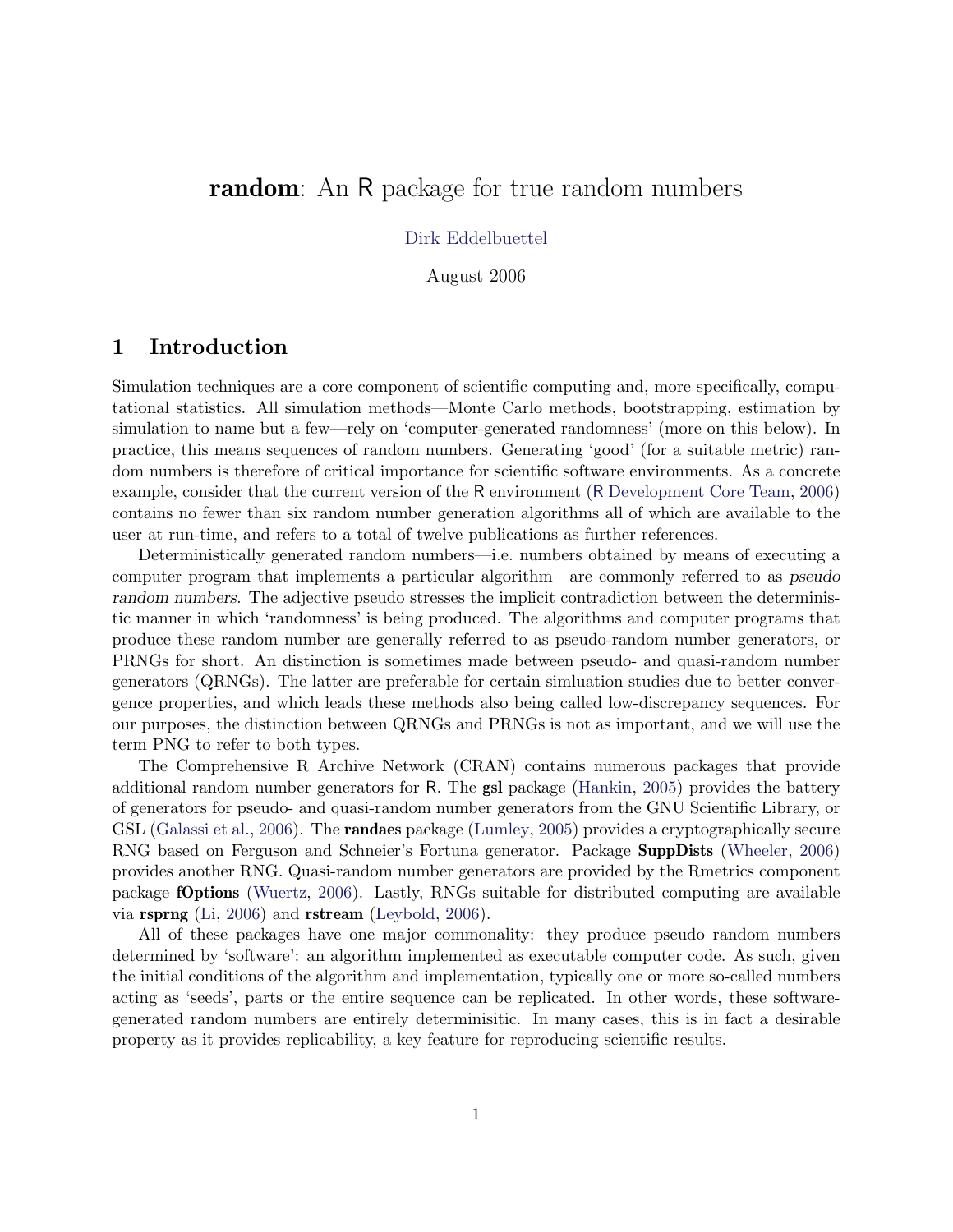# **random**: An R package for true random numbers

#### [Dirk Eddelbuettel](http://dirk.eddelbuettel.com)

August 2006

# 1 Introduction

Simulation techniques are a core component of scientific computing and, more specifically, computational statistics. All simulation methods—Monte Carlo methods, bootstrapping, estimation by simulation to name but a few—rely on 'computer-generated randomness' (more on this below). In practice, this means sequences of random numbers. Generating 'good' (for a suitable metric) random numbers is therefore of critical importance for scientific software environments. As a concrete example, consider that the current version of the R environment (R [Development Core Team,](#page-7-0) [2006\)](#page-7-0) contains no fewer than six random number generation algorithms all of which are available to the user at run-time, and refers to a total of twelve publications as further references.

Deterministically generated random numbers—i.e. numbers obtained by means of executing a computer program that implements a particular algorithm—are commonly referred to as pseudo random numbers. The adjective pseudo stresses the implicit contradiction between the deterministic manner in which 'randomness' is being produced. The algorithms and computer programs that produce these random number are generally referred to as pseudo-random number generators, or PRNGs for short. An distinction is sometimes made between pseudo- and quasi-random number generators (QRNGs). The latter are preferable for certain simluation studies due to better convergence properties, and which leads these methods also being called low-discrepancy sequences. For our purposes, the distinction between QRNGs and PRNGs is not as important, and we will use the term PNG to refer to both types.

The Comprehensive R Archive Network (CRAN) contains numerous packages that provide additional random number generators for R. The gsl package [\(Hankin,](#page-7-1) [2005\)](#page-7-1) provides the battery of generators for pseudo- and quasi-random number generators from the GNU Scientific Library, or GSL [\(Galassi et al.,](#page-6-0) [2006\)](#page-6-0). The **randaes** package [\(Lumley,](#page-7-2) [2005\)](#page-7-2) provides a cryptographically secure RNG based on Ferguson and Schneier's Fortuna generator. Package SuppDists [\(Wheeler,](#page-7-3) [2006\)](#page-7-3) provides another RNG. Quasi-random number generators are provided by the Rmetrics component package fOptions [\(Wuertz,](#page-7-4) [2006\)](#page-7-4). Lastly, RNGs suitable for distributed computing are available via rsprng [\(Li,](#page-7-5) [2006\)](#page-7-5) and rstream [\(Leybold,](#page-7-6) [2006\)](#page-7-6).

All of these packages have one major commonality: they produce pseudo random numbers determined by 'software': an algorithm implemented as executable computer code. As such, given the initial conditions of the algorithm and implementation, typically one or more so-called numbers acting as 'seeds', parts or the entire sequence can be replicated. In other words, these softwaregenerated random numbers are entirely determinisitic. In many cases, this is in fact a desirable property as it provides replicability, a key feature for reproducing scientific results.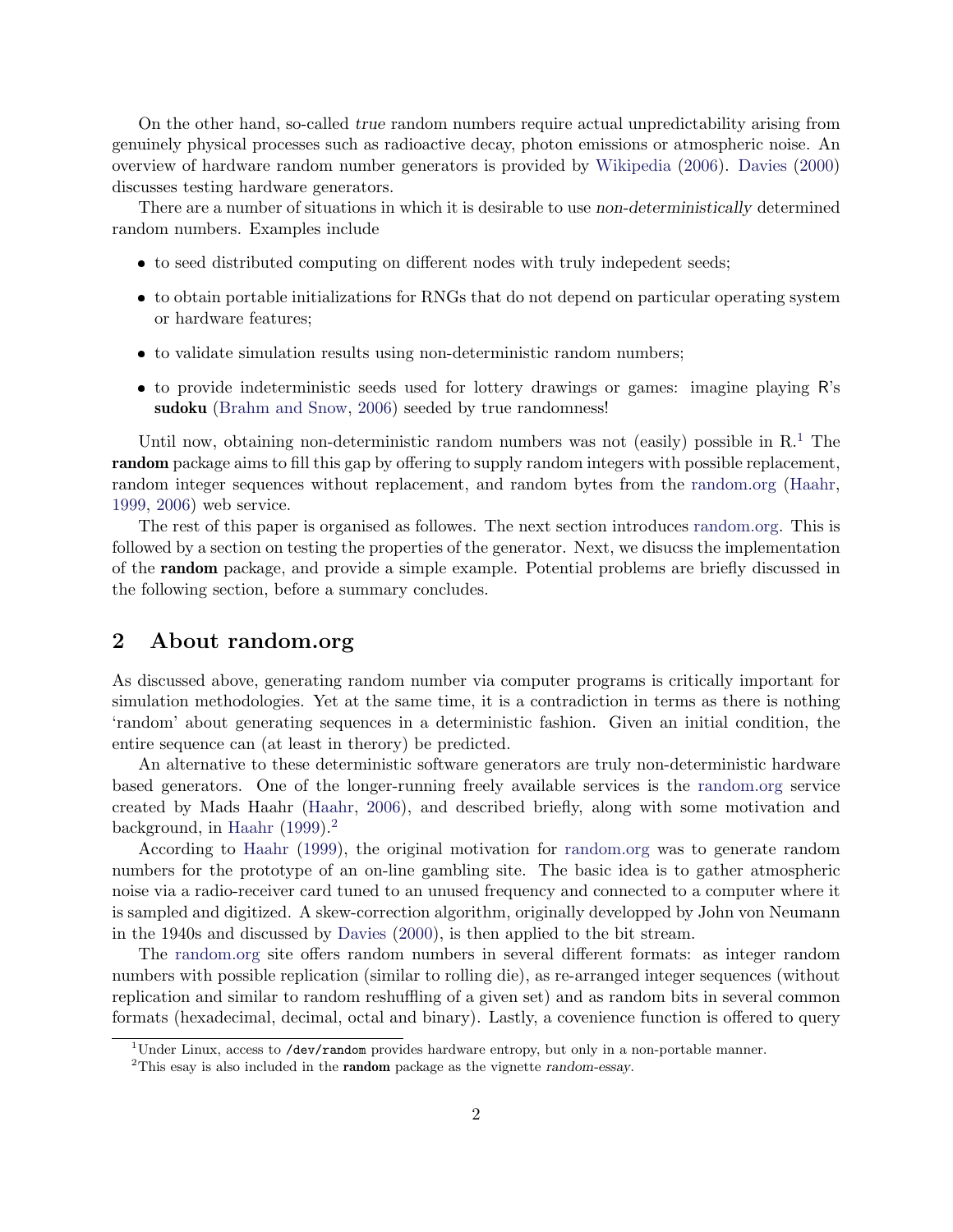On the other hand, so-called true random numbers require actual unpredictability arising from genuinely physical processes such as radioactive decay, photon emissions or atmospheric noise. An overview of hardware random number generators is provided by [Wikipedia](#page-7-7) [\(2006\)](#page-7-7). [Davies](#page-6-1) [\(2000\)](#page-6-1) discusses testing hardware generators.

There are a number of situations in which it is desirable to use non-deterministically determined random numbers. Examples include

- to seed distributed computing on different nodes with truly indepedent seeds;
- to obtain portable initializations for RNGs that do not depend on particular operating system or hardware features;
- to validate simulation results using non-deterministic random numbers;
- to provide indeterministic seeds used for lottery drawings or games: imagine playing R's sudoku [\(Brahm and Snow,](#page-6-2) [2006\)](#page-6-2) seeded by true randomness!

Until now, obtaining non-deterministic random numbers was not (easily) possible in  $R<sup>1</sup>$  $R<sup>1</sup>$  $R<sup>1</sup>$ . The random package aims to fill this gap by offering to supply random integers with possible replacement, random integer sequences without replacement, and random bytes from the [random.org](http://random.org) [\(Haahr,](#page-6-3) [1999,](#page-6-3) [2006\)](#page-6-4) web service.

The rest of this paper is organised as followes. The next section introduces [random.org.](http://random.org) This is followed by a section on testing the properties of the generator. Next, we disucss the implementation of the random package, and provide a simple example. Potential problems are briefly discussed in the following section, before a summary concludes.

## 2 About random.org

As discussed above, generating random number via computer programs is critically important for simulation methodologies. Yet at the same time, it is a contradiction in terms as there is nothing 'random' about generating sequences in a deterministic fashion. Given an initial condition, the entire sequence can (at least in therory) be predicted.

An alternative to these deterministic software generators are truly non-deterministic hardware based generators. One of the longer-running freely available services is the [random.org](http://random.org) service created by Mads Haahr [\(Haahr,](#page-6-4) [2006\)](#page-6-4), and described briefly, along with some motivation and background, in [Haahr](#page-6-3)  $(1999).<sup>2</sup>$  $(1999).<sup>2</sup>$  $(1999).<sup>2</sup>$  $(1999).<sup>2</sup>$ 

According to [Haahr](#page-6-3) [\(1999\)](#page-6-3), the original motivation for [random.org](http://random.org) was to generate random numbers for the prototype of an on-line gambling site. The basic idea is to gather atmospheric noise via a radio-receiver card tuned to an unused frequency and connected to a computer where it is sampled and digitized. A skew-correction algorithm, originally developped by John von Neumann in the 1940s and discussed by [Davies](#page-6-1) [\(2000\)](#page-6-1), is then applied to the bit stream.

The [random.org](http://random.org) site offers random numbers in several different formats: as integer random numbers with possible replication (similar to rolling die), as re-arranged integer sequences (without replication and similar to random reshuffling of a given set) and as random bits in several common formats (hexadecimal, decimal, octal and binary). Lastly, a covenience function is offered to query

<span id="page-1-0"></span><sup>&</sup>lt;sup>1</sup>Under Linux, access to /dev/random provides hardware entropy, but only in a non-portable manner.

<span id="page-1-1"></span><sup>&</sup>lt;sup>2</sup>This esay is also included in the **random** package as the vignette random-essay.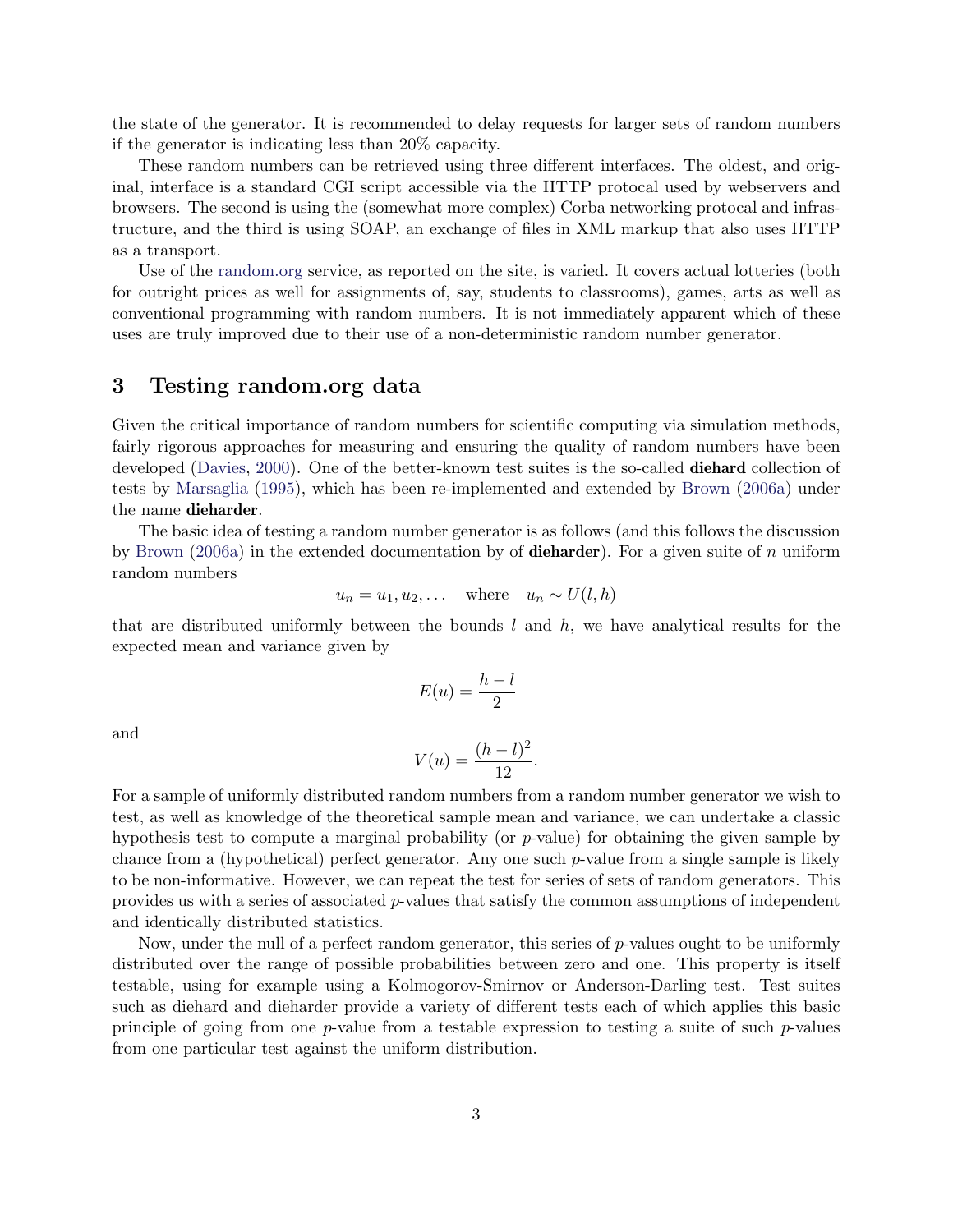the state of the generator. It is recommended to delay requests for larger sets of random numbers if the generator is indicating less than 20% capacity.

These random numbers can be retrieved using three different interfaces. The oldest, and original, interface is a standard CGI script accessible via the HTTP protocal used by webservers and browsers. The second is using the (somewhat more complex) Corba networking protocal and infrastructure, and the third is using SOAP, an exchange of files in XML markup that also uses HTTP as a transport.

Use of the [random.org](http://random.org) service, as reported on the site, is varied. It covers actual lotteries (both for outright prices as well for assignments of, say, students to classrooms), games, arts as well as conventional programming with random numbers. It is not immediately apparent which of these uses are truly improved due to their use of a non-deterministic random number generator.

## 3 Testing random.org data

Given the critical importance of random numbers for scientific computing via simulation methods, fairly rigorous approaches for measuring and ensuring the quality of random numbers have been developed [\(Davies,](#page-6-1) [2000\)](#page-6-1). One of the better-known test suites is the so-called **diehard** collection of tests by [Marsaglia](#page-7-8) [\(1995\)](#page-7-8), which has been re-implemented and extended by [Brown](#page-6-5) [\(2006a\)](#page-6-5) under the name dieharder.

The basic idea of testing a random number generator is as follows (and this follows the discussion by [Brown](#page-6-5) [\(2006a\)](#page-6-5) in the extended documentation by of **dieharder**). For a given suite of n uniform random numbers

$$
u_n = u_1, u_2, \dots \quad \text{where} \quad u_n \sim U(l, h)
$$

that are distributed uniformly between the bounds  $l$  and  $h$ , we have analytical results for the expected mean and variance given by

$$
E(u) = \frac{h - l}{2}
$$

and

$$
V(u) = \frac{(h - l)^2}{12}.
$$

For a sample of uniformly distributed random numbers from a random number generator we wish to test, as well as knowledge of the theoretical sample mean and variance, we can undertake a classic hypothesis test to compute a marginal probability (or  $p$ -value) for obtaining the given sample by chance from a (hypothetical) perfect generator. Any one such  $p$ -value from a single sample is likely to be non-informative. However, we can repeat the test for series of sets of random generators. This provides us with a series of associated p-values that satisfy the common assumptions of independent and identically distributed statistics.

Now, under the null of a perfect random generator, this series of p-values ought to be uniformly distributed over the range of possible probabilities between zero and one. This property is itself testable, using for example using a Kolmogorov-Smirnov or Anderson-Darling test. Test suites such as diehard and dieharder provide a variety of different tests each of which applies this basic principle of going from one  $p$ -value from a testable expression to testing a suite of such  $p$ -values from one particular test against the uniform distribution.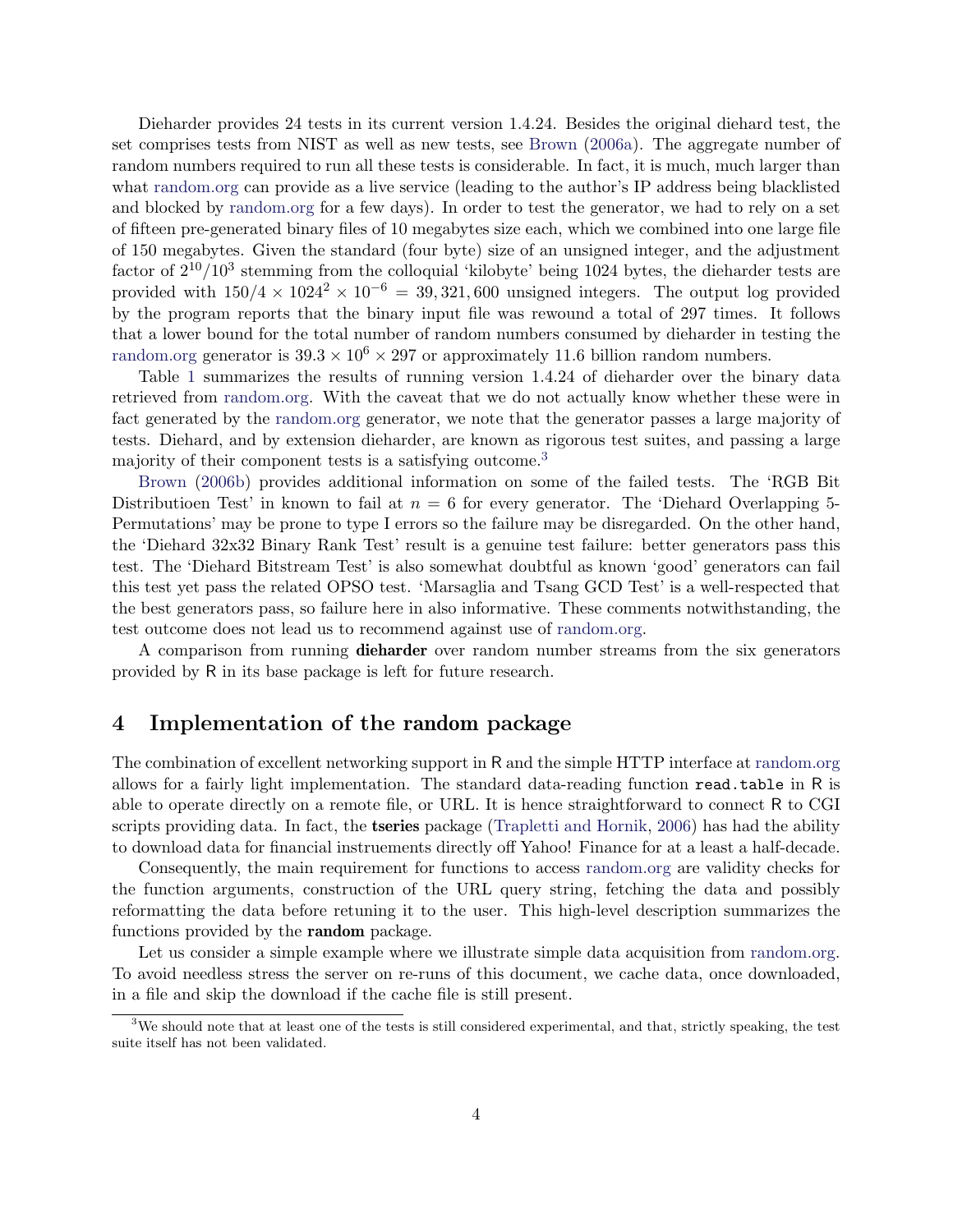Dieharder provides 24 tests in its current version 1.4.24. Besides the original diehard test, the set comprises tests from NIST as well as new tests, see [Brown](#page-6-5) [\(2006a\)](#page-6-5). The aggregate number of random numbers required to run all these tests is considerable. In fact, it is much, much larger than what [random.org](http://random.org) can provide as a live service (leading to the author's IP address being blacklisted and blocked by [random.org](http://random.org) for a few days). In order to test the generator, we had to rely on a set of fifteen pre-generated binary files of 10 megabytes size each, which we combined into one large file of 150 megabytes. Given the standard (four byte) size of an unsigned integer, and the adjustment factor of  $2^{10}/10^3$  stemming from the colloquial 'kilobyte' being 1024 bytes, the dieharder tests are provided with  $150/4 \times 10^{24} \times 10^{-6} = 39,321,600$  unsigned integers. The output log provided by the program reports that the binary input file was rewound a total of 297 times. It follows that a lower bound for the total number of random numbers consumed by dieharder in testing the [random.org](http://random.org) generator is  $39.3 \times 10^6 \times 297$  or approximately 11.6 billion random numbers.

Table [1](#page-4-0) summarizes the results of running version 1.4.24 of dieharder over the binary data retrieved from [random.org.](http://random.org) With the caveat that we do not actually know whether these were in fact generated by the [random.org](http://random.org) generator, we note that the generator passes a large majority of tests. Diehard, and by extension dieharder, are known as rigorous test suites, and passing a large majority of their component tests is a satisfying outcome.[3](#page-3-0)

[Brown](#page-6-6) [\(2006b\)](#page-6-6) provides additional information on some of the failed tests. The 'RGB Bit Distributioen Test' in known to fail at  $n = 6$  for every generator. The 'Diehard Overlapping 5-Permutations' may be prone to type I errors so the failure may be disregarded. On the other hand, the 'Diehard 32x32 Binary Rank Test' result is a genuine test failure: better generators pass this test. The 'Diehard Bitstream Test' is also somewhat doubtful as known 'good' generators can fail this test yet pass the related OPSO test. 'Marsaglia and Tsang GCD Test' is a well-respected that the best generators pass, so failure here in also informative. These comments notwithstanding, the test outcome does not lead us to recommend against use of [random.org.](http://random.org)

A comparison from running **dieharder** over random number streams from the six generators provided by R in its base package is left for future research.

#### 4 Implementation of the random package

The combination of excellent networking support in R and the simple HTTP interface at [random.org](http://random.org) allows for a fairly light implementation. The standard data-reading function read.table in R is able to operate directly on a remote file, or URL. It is hence straightforward to connect R to CGI scripts providing data. In fact, the **tseries** package [\(Trapletti and Hornik,](#page-7-9) [2006\)](#page-7-9) has had the ability to download data for financial instruements directly off Yahoo! Finance for at a least a half-decade.

Consequently, the main requirement for functions to access [random.org](http://random.org) are validity checks for the function arguments, construction of the URL query string, fetching the data and possibly reformatting the data before retuning it to the user. This high-level description summarizes the functions provided by the random package.

Let us consider a simple example where we illustrate simple data acquisition from [random.org.](http://random.org) To avoid needless stress the server on re-runs of this document, we cache data, once downloaded, in a file and skip the download if the cache file is still present.

<span id="page-3-0"></span><sup>&</sup>lt;sup>3</sup>We should note that at least one of the tests is still considered experimental, and that, strictly speaking, the test suite itself has not been validated.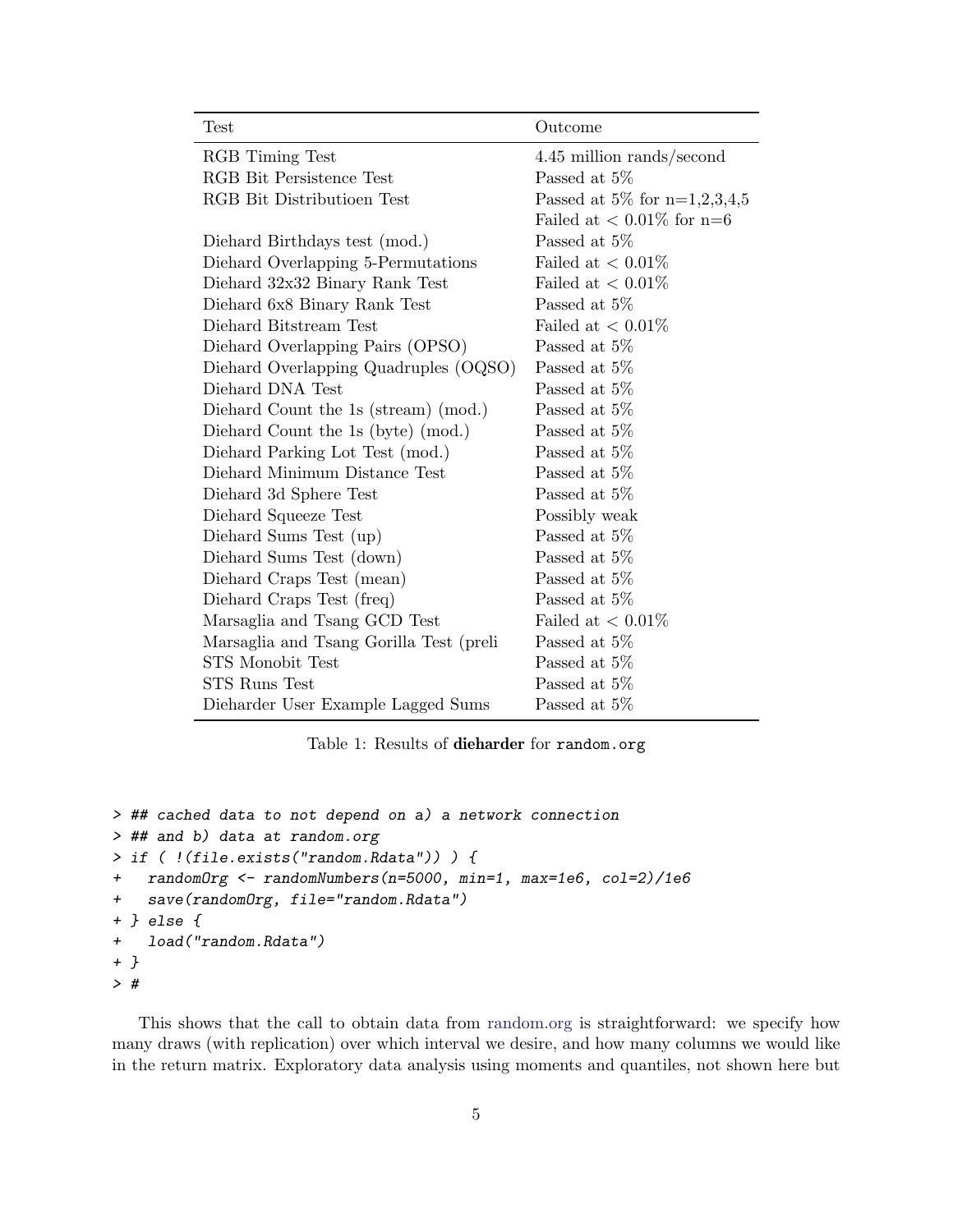| Test                                    | Outcome                         |
|-----------------------------------------|---------------------------------|
| RGB Timing Test                         | 4.45 million rands/second       |
| RGB Bit Persistence Test                | Passed at 5\%                   |
| RGB Bit Distributioen Test              | Passed at 5\% for $n=1,2,3,4,5$ |
|                                         | Failed at $< 0.01\%$ for n=6    |
| Diehard Birthdays test (mod.)           | Passed at $5\%$                 |
| Diehard Overlapping 5-Permutations      | Failed at $< 0.01\%$            |
| Diehard 32x32 Binary Rank Test          | Failed at $< 0.01\%$            |
| Diehard 6x8 Binary Rank Test            | Passed at 5\%                   |
| Diehard Bitstream Test                  | Failed at $< 0.01\%$            |
| Diehard Overlapping Pairs (OPSO)        | Passed at 5\%                   |
| Diehard Overlapping Quadruples (OQSO)   | Passed at 5\%                   |
| Diehard DNA Test                        | Passed at 5\%                   |
| Diehard Count the 1s (stream) (mod.)    | Passed at 5%                    |
| Diehard Count the 1s (byte) (mod.)      | Passed at $5\%$                 |
| Diehard Parking Lot Test (mod.)         | Passed at 5\%                   |
| Diehard Minimum Distance Test           | Passed at $5\%$                 |
| Diehard 3d Sphere Test                  | Passed at 5\%                   |
| Diehard Squeeze Test                    | Possibly weak                   |
| Diehard Sums Test (up)                  | Passed at 5\%                   |
| Diehard Sums Test (down)                | Passed at 5\%                   |
| Diehard Craps Test (mean)               | Passed at 5\%                   |
| Diehard Craps Test (freq)               | Passed at 5\%                   |
| Marsaglia and Tsang GCD Test            | Failed at $< 0.01\%$            |
| Marsaglia and Tsang Gorilla Test (preli | Passed at 5\%                   |
| STS Monobit Test                        | Passed at 5\%                   |
| STS Runs Test                           | Passed at 5\%                   |
| Dieharder User Example Lagged Sums      | Passed at $5\%$                 |

<span id="page-4-0"></span>Table 1: Results of dieharder for random.org

```
> ## cached data to not depend on a) a network connection
> ## and b) data at random.org
> if ( !(file.exists("random.Rdata")) ) {
+ randomOrg <- randomNumbers(n=5000, min=1, max=1e6, col=2)/1e6
+ save(randomOrg, file="random.Rdata")
+ } else {
+ load("random.Rdata")
+ }
> #
```
This shows that the call to obtain data from [random.org](http://random.org) is straightforward: we specify how many draws (with replication) over which interval we desire, and how many columns we would like in the return matrix. Exploratory data analysis using moments and quantiles, not shown here but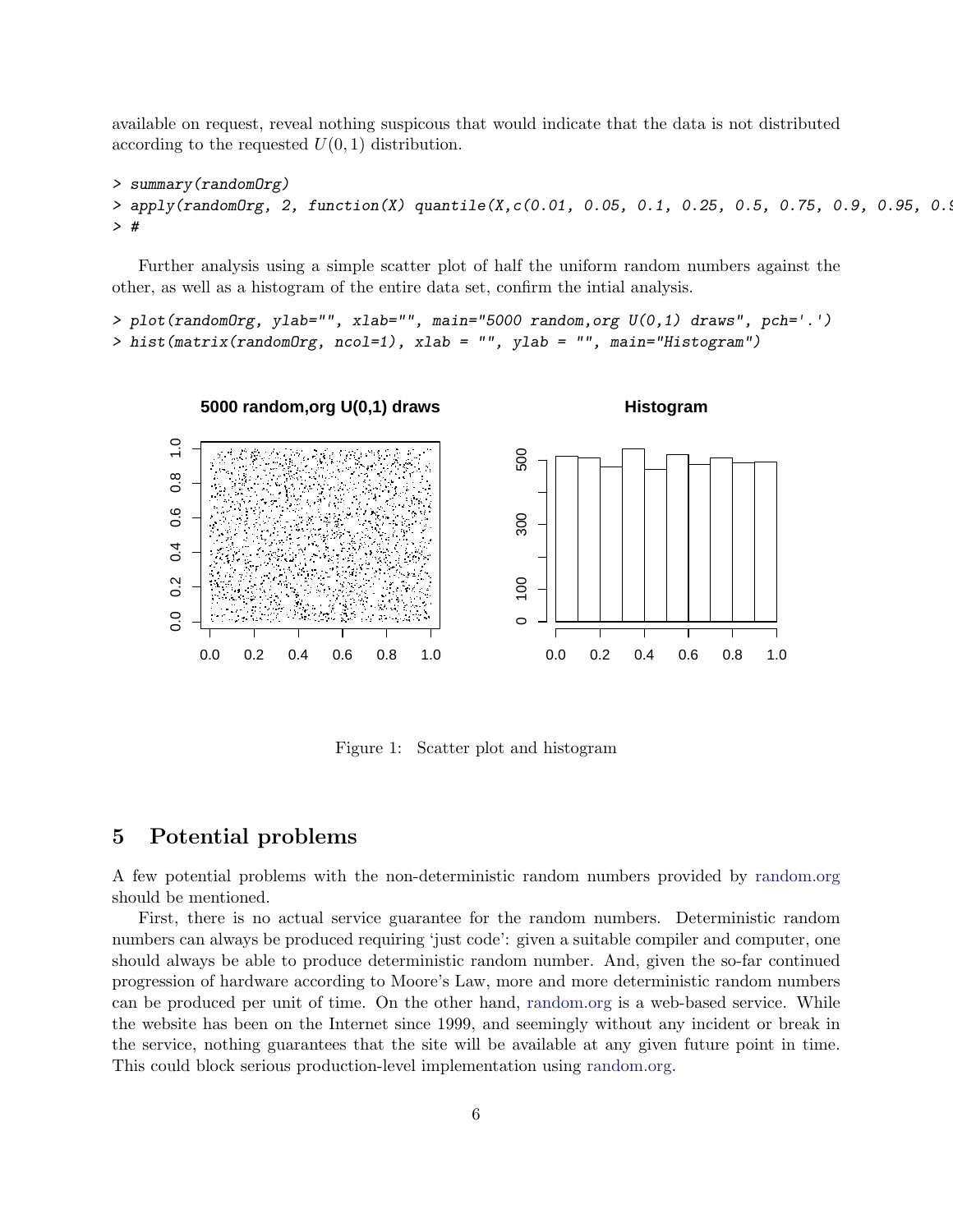available on request, reveal nothing suspicous that would indicate that the data is not distributed according to the requested  $U(0, 1)$  distribution.

```
> summary(randomOrg)
> apply(randomOrg, 2, function(X) quantile(X,c(0.01, 0.05, 0.1, 0.25, 0.5, 0.75, 0.9, 0.95, 0.9
> #
```
Further analysis using a simple scatter plot of half the uniform random numbers against the other, as well as a histogram of the entire data set, confirm the intial analysis.

```
> plot(randomOrg, ylab="", xlab="", main="5000 random,org U(0,1) draws", pch='.')
> hist(matrix(randomOrg, ncol=1), xlab = "", ylab = "", main="Histogram")
```


Figure 1: Scatter plot and histogram

## 5 Potential problems

A few potential problems with the non-deterministic random numbers provided by [random.org](http://random.org) should be mentioned.

First, there is no actual service guarantee for the random numbers. Deterministic random numbers can always be produced requiring 'just code': given a suitable compiler and computer, one should always be able to produce deterministic random number. And, given the so-far continued progression of hardware according to Moore's Law, more and more deterministic random numbers can be produced per unit of time. On the other hand, [random.org](http://random.org) is a web-based service. While the website has been on the Internet since 1999, and seemingly without any incident or break in the service, nothing guarantees that the site will be available at any given future point in time. This could block serious production-level implementation using [random.org.](http://random.org)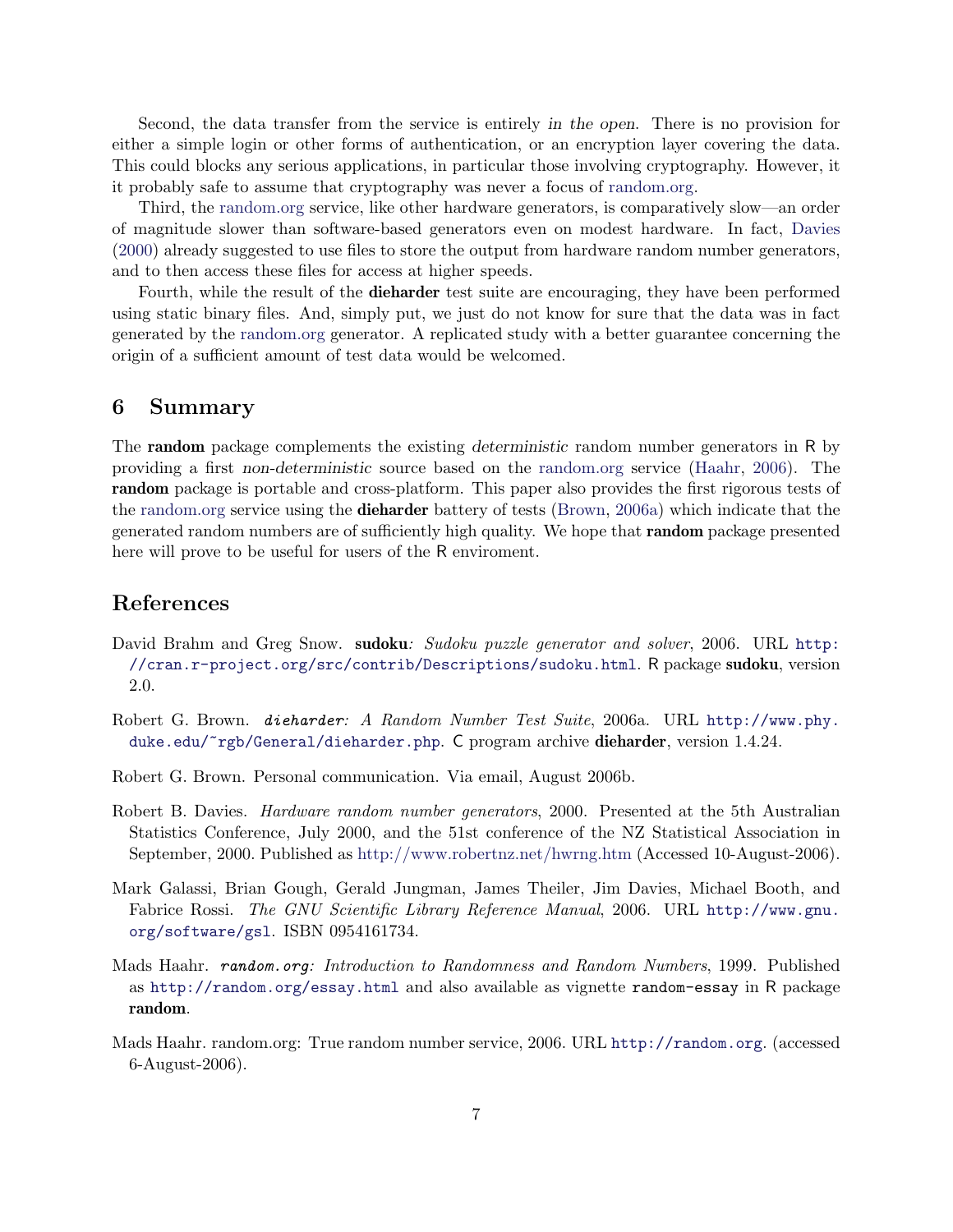Second, the data transfer from the service is entirely in the open. There is no provision for either a simple login or other forms of authentication, or an encryption layer covering the data. This could blocks any serious applications, in particular those involving cryptography. However, it it probably safe to assume that cryptography was never a focus of [random.org.](http://random.org)

Third, the [random.org](http://random.org) service, like other hardware generators, is comparatively slow—an order of magnitude slower than software-based generators even on modest hardware. In fact, [Davies](#page-6-1) [\(2000\)](#page-6-1) already suggested to use files to store the output from hardware random number generators, and to then access these files for access at higher speeds.

Fourth, while the result of the dieharder test suite are encouraging, they have been performed using static binary files. And, simply put, we just do not know for sure that the data was in fact generated by the [random.org](http://random.org) generator. A replicated study with a better guarantee concerning the origin of a sufficient amount of test data would be welcomed.

#### 6 Summary

The random package complements the existing deterministic random number generators in R by providing a first non-deterministic source based on the [random.org](http://random.org) service [\(Haahr,](#page-6-4) [2006\)](#page-6-4). The random package is portable and cross-platform. This paper also provides the first rigorous tests of the [random.org](http://random.org) service using the dieharder battery of tests [\(Brown,](#page-6-5) [2006a\)](#page-6-5) which indicate that the generated random numbers are of sufficiently high quality. We hope that random package presented here will prove to be useful for users of the R enviroment.

## References

- <span id="page-6-2"></span>David Brahm and Greg Snow. sudoku: Sudoku puzzle generator and solver, 2006. URL [http:](http://cran.r-project.org/src/contrib/Descriptions/sudoku.html) [//cran.r-project.org/src/contrib/Descriptions/sudoku.html](http://cran.r-project.org/src/contrib/Descriptions/sudoku.html). R package sudoku, version 2.0.
- <span id="page-6-5"></span>Robert G. Brown. dieharder: A Random Number Test Suite, 2006a. URL [http://www.phy.](http://www.phy.duke.edu/~rgb/General/dieharder.php) [duke.edu/~rgb/General/dieharder.php](http://www.phy.duke.edu/~rgb/General/dieharder.php). C program archive dieharder, version 1.4.24.
- <span id="page-6-6"></span>Robert G. Brown. Personal communication. Via email, August 2006b.
- <span id="page-6-1"></span>Robert B. Davies. Hardware random number generators, 2000. Presented at the 5th Australian Statistics Conference, July 2000, and the 51st conference of the NZ Statistical Association in September, 2000. Published as <http://www.robertnz.net/hwrng.htm> (Accessed 10-August-2006).
- <span id="page-6-0"></span>Mark Galassi, Brian Gough, Gerald Jungman, James Theiler, Jim Davies, Michael Booth, and Fabrice Rossi. The GNU Scientific Library Reference Manual, 2006. URL [http://www.gnu.](http://www.gnu.org/software/gsl) [org/software/gsl](http://www.gnu.org/software/gsl). ISBN 0954161734.
- <span id="page-6-3"></span>Mads Haahr. random.org: Introduction to Randomness and Random Numbers, 1999. Published as <http://random.org/essay.html> and also available as vignette random-essay in R package random.
- <span id="page-6-4"></span>Mads Haahr. random.org: True random number service, 2006. URL <http://random.org>. (accessed 6-August-2006).